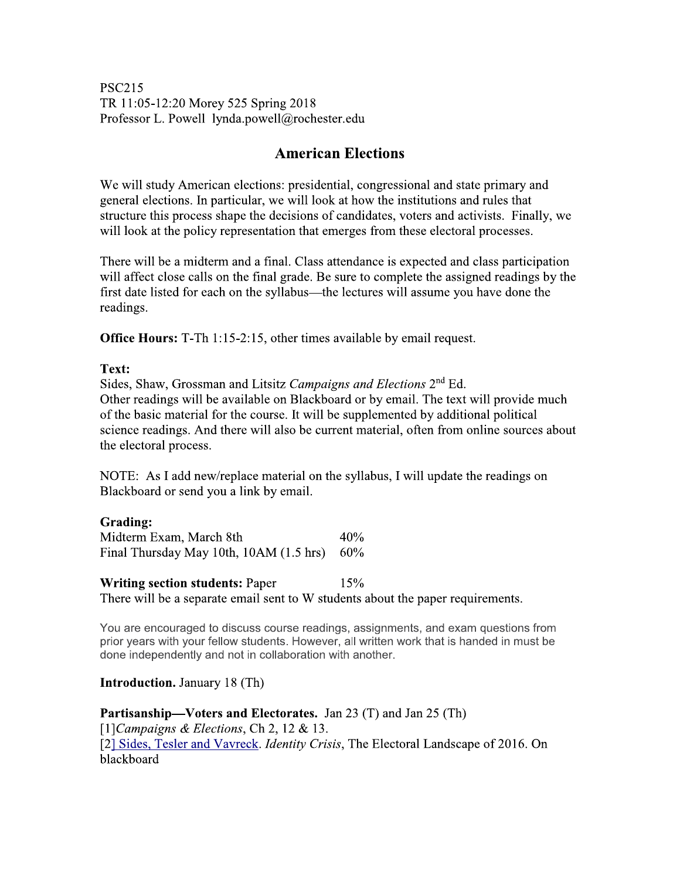**PSC215** TR 11:05-12:20 Morey 525 Spring 2018 Professor L. Powell lynda.powell@rochester.edu

# **American Elections**

We will study American elections: presidential, congressional and state primary and general elections. In particular, we will look at how the institutions and rules that structure this process shape the decisions of candidates, voters and activists. Finally, we will look at the policy representation that emerges from these electoral processes.

There will be a midterm and a final. Class attendance is expected and class participation will affect close calls on the final grade. Be sure to complete the assigned readings by the first date listed for each on the syllabus—the lectures will assume you have done the readings.

**Office Hours:** T-Th 1:15-2:15, other times available by email request.

#### Text:

Sides, Shaw, Grossman and Litsitz Campaigns and Elections 2<sup>nd</sup> Ed. Other readings will be available on Blackboard or by email. The text will provide much of the basic material for the course. It will be supplemented by additional political science readings. And there will also be current material, often from online sources about the electoral process.

NOTE: As I add new/replace material on the syllabus, I will update the readings on Blackboard or send you a link by email.

### Grading:

Midterm Exam, March 8th  $40%$ Final Thursday May 10th,  $10AM (1.5 hrs)$  60%

#### **Writing section students: Paper**

There will be a separate email sent to W students about the paper requirements.

You are encouraged to discuss course readings, assignments, and exam questions from prior years with your fellow students. However, all written work that is handed in must be done independently and not in collaboration with another.

 $15%$ 

**Introduction.** January 18 (Th)

Partisanship—Voters and Electorates. Jan 23 (T) and Jan 25 (Th) [1] Campaigns & Elections, Ch 2, 12 & 13. [2] Sides, Tesler and Vavreck. *Identity Crisis*, The Electoral Landscape of 2016. On blackboard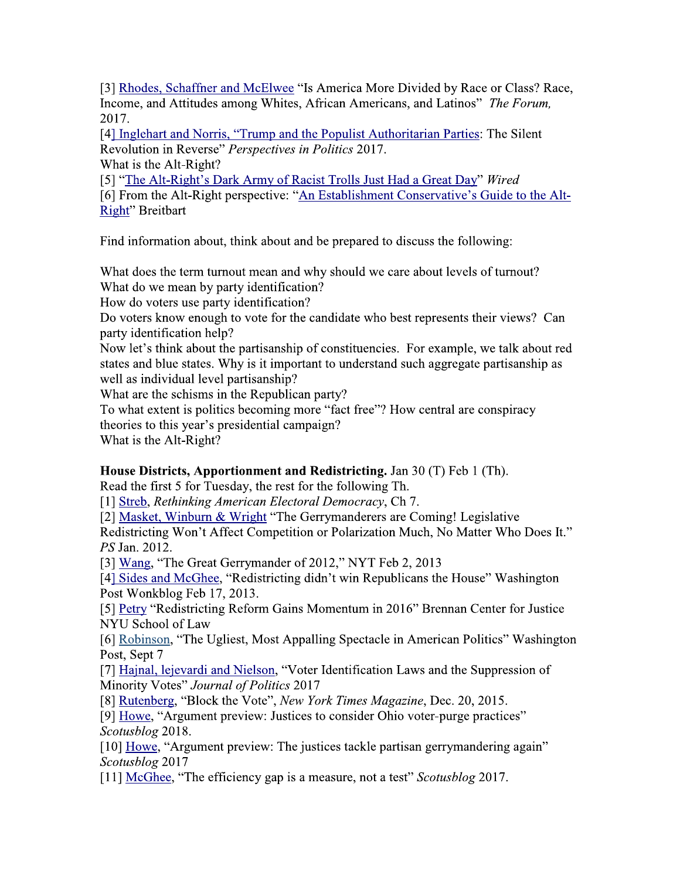[3] Rhodes, Schaffner and McElwee "Is America More Divided by Race or Class? Race, Income, and Attitudes among Whites, African Americans, and Latinos" The Forum, 2017.

[4] Inglehart and Norris, "Trump and the Populist Authoritarian Parties: The Silent Revolution in Reverse" Perspectives in Politics 2017. What is the Alt-Right?

[5] "The Alt-Right's Dark Army of Racist Trolls Just Had a Great Day" Wired [6] From the Alt-Right perspective: "An Establishment Conservative's Guide to the Alt-Right" Breitbart

Find information about, think about and be prepared to discuss the following:

What does the term turnout mean and why should we care about levels of turnout? What do we mean by party identification?

How do voters use party identification?

Do voters know enough to vote for the candidate who best represents their views? Can party identification help?

Now let's think about the partisanship of constituencies. For example, we talk about red states and blue states. Why is it important to understand such aggregate partisanship as well as individual level partisanship?

What are the schisms in the Republican party?

To what extent is politics becoming more "fact free"? How central are conspiracy theories to this year's presidential campaign?

What is the Alt-Right?

# House Districts, Apportionment and Redistricting. Jan 30 (T) Feb 1 (Th).

Read the first 5 for Tuesday, the rest for the following Th.

[1] Streb, Rethinking American Electoral Democracy, Ch 7.

[2] Masket, Winburn & Wright "The Gerrymanderers are Coming! Legislative

Redistricting Won't Affect Competition or Polarization Much, No Matter Who Does It." PS Jan. 2012.

[3] Wang, "The Great Gerrymander of 2012," NYT Feb 2, 2013

[4] Sides and McGhee, "Redistricting didn't win Republicans the House" Washington Post Wonkblog Feb 17, 2013.

[5] Petry "Redistricting Reform Gains Momentum in 2016" Brennan Center for Justice NYU School of Law

[6] Robinson, "The Ugliest, Most Appalling Spectacle in American Politics" Washington Post, Sept 7

[7] Hajnal, lejevardi and Nielson, "Voter Identification Laws and the Suppression of Minority Votes" Journal of Politics 2017

[8] Rutenberg, "Block the Vote", New York Times Magazine, Dec. 20, 2015.

[9] Howe, "Argument preview: Justices to consider Ohio voter-purge practices" Scotusblog 2018.

[10] Howe, "Argument preview: The justices tackle partisan gerrymandering again" Scotusblog 2017

[11] McGhee, "The efficiency gap is a measure, not a test" Scotusblog 2017.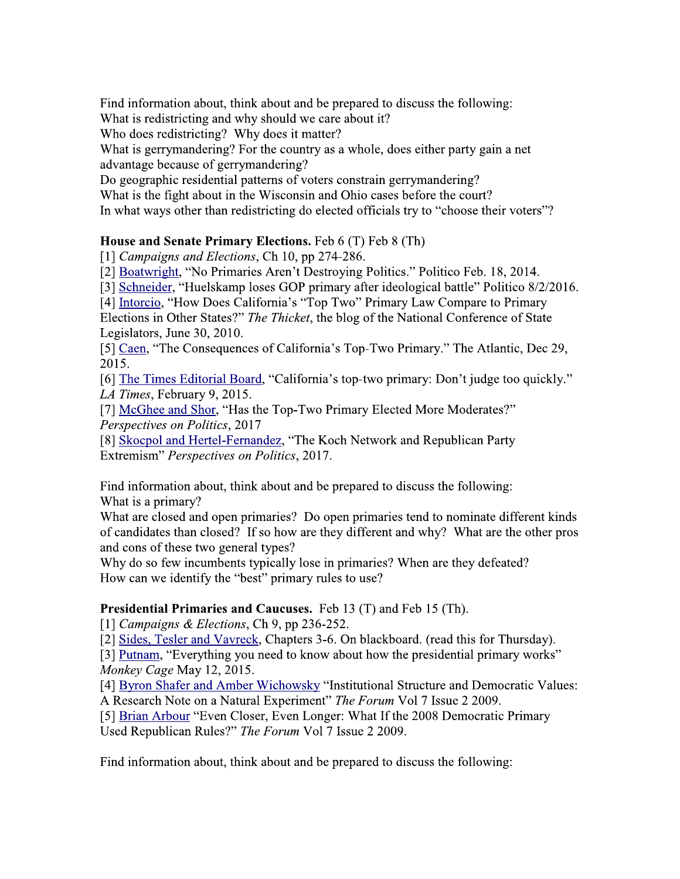Find information about, think about and be prepared to discuss the following:

What is redistricting and why should we care about it?

Who does redistricting? Why does it matter?

What is gerrymandering? For the country as a whole, does either party gain a net advantage because of gerrymandering?

Do geographic residential patterns of voters constrain gerrymandering?

What is the fight about in the Wisconsin and Ohio cases before the court?

In what ways other than redistricting do elected officials try to "choose their voters"?

# House and Senate Primary Elections. Feb 6 (T) Feb 8 (Th)

[1] Campaigns and Elections, Ch 10, pp 274-286.

[2] Boatwright, "No Primaries Aren't Destroying Politics." Politico Feb. 18, 2014.

[3] Schneider, "Huelskamp loses GOP primary after ideological battle" Politico 8/2/2016.

[4] Intorcio, "How Does California's "Top Two" Primary Law Compare to Primary Elections in Other States?" The Thicket, the blog of the National Conference of State Legislators, June 30, 2010.

[5] Caen, "The Consequences of California's Top-Two Primary." The Atlantic, Dec 29, 2015.

[6] The Times Editorial Board, "California's top-two primary: Don't judge too quickly." LA Times, February 9, 2015.

[7] McGhee and Shor, "Has the Top-Two Primary Elected More Moderates?" Perspectives on Politics, 2017

[8] Skocpol and Hertel-Fernandez, "The Koch Network and Republican Party Extremism" Perspectives on Politics, 2017.

Find information about, think about and be prepared to discuss the following: What is a primary?

What are closed and open primaries? Do open primaries tend to nominate different kinds of candidates than closed? If so how are they different and why? What are the other pros and cons of these two general types?

Why do so few incumbents typically lose in primaries? When are they defeated? How can we identify the "best" primary rules to use?

# **Presidential Primaries and Caucuses.** Feb 13 (T) and Feb 15 (Th).

[1] Campaigns & Elections, Ch 9, pp 236-252.

[2] Sides, Tesler and Vavreck, Chapters 3-6. On blackboard. (read this for Thursday).

[3] Putnam, "Everything you need to know about how the presidential primary works" Monkey Cage May 12, 2015.

[4] Byron Shafer and Amber Wichowsky "Institutional Structure and Democratic Values: A Research Note on a Natural Experiment" The Forum Vol 7 Issue 2 2009.

[5] Brian Arbour "Even Closer, Even Longer: What If the 2008 Democratic Primary Used Republican Rules?" The Forum Vol 7 Issue 2 2009.

Find information about, think about and be prepared to discuss the following: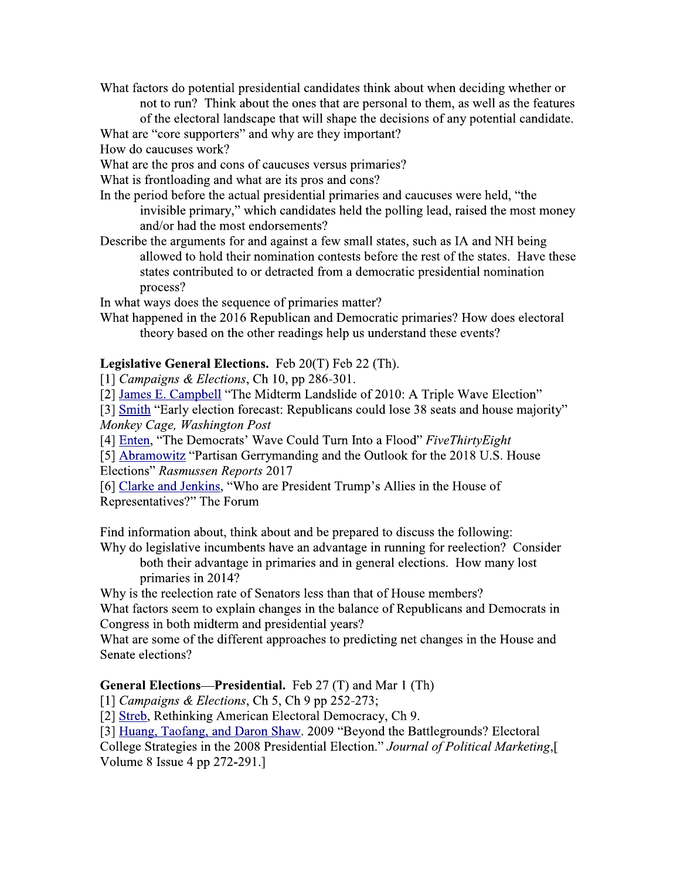What factors do potential presidential candidates think about when deciding whether or not to run? Think about the ones that are personal to them, as well as the features

of the electoral landscape that will shape the decisions of any potential candidate.

What are "core supporters" and why are they important?

How do caucuses work?

What are the pros and cons of caucuses versus primaries?

What is front loading and what are its pros and cons?

- In the period before the actual presidential primaries and caucuses were held, "the invisible primary," which candidates held the polling lead, raised the most money and/or had the most endorsements?
- Describe the arguments for and against a few small states, such as IA and NH being allowed to hold their nomination contests before the rest of the states. Have these states contributed to or detracted from a democratic presidential nomination process?

In what ways does the sequence of primaries matter?

What happened in the 2016 Republican and Democratic primaries? How does electoral theory based on the other readings help us understand these events?

### **Legislative General Elections.** Feb 20(T) Feb 22 (Th).

[1] Campaigns & Elections, Ch 10, pp 286-301.

[2] James E. Campbell "The Midterm Landslide of 2010: A Triple Wave Election"

[3] Smith "Early election forecast: Republicans could lose 38 seats and house majority" Monkey Cage, Washington Post

[4] Enten, "The Democrats' Wave Could Turn Into a Flood" FiveThirtyEight

[5] Abramowitz "Partisan Gerrymanding and the Outlook for the 2018 U.S. House Elections" Rasmussen Reports 2017

[6] Clarke and Jenkins, "Who are President Trump's Allies in the House of Representatives?" The Forum

Find information about, think about and be prepared to discuss the following: Why do legislative incumbents have an advantage in running for reelection? Consider

both their advantage in primaries and in general elections. How many lost primaries in 2014?

Why is the reelection rate of Senators less than that of House members?

What factors seem to explain changes in the balance of Republicans and Democrats in Congress in both midterm and presidential years?

What are some of the different approaches to predicting net changes in the House and Senate elections?

### **General Elections—Presidential.** Feb 27 (T) and Mar 1 (Th)

[1] Campaigns & Elections, Ch 5, Ch 9 pp 252-273;

[2] Streb, Rethinking American Electoral Democracy, Ch 9.

[3] Huang, Taofang, and Daron Shaw. 2009 "Beyond the Battlegrounds? Electoral

College Strategies in the 2008 Presidential Election." Journal of Political Marketing,[ Volume 8 Issue 4 pp 272-291.]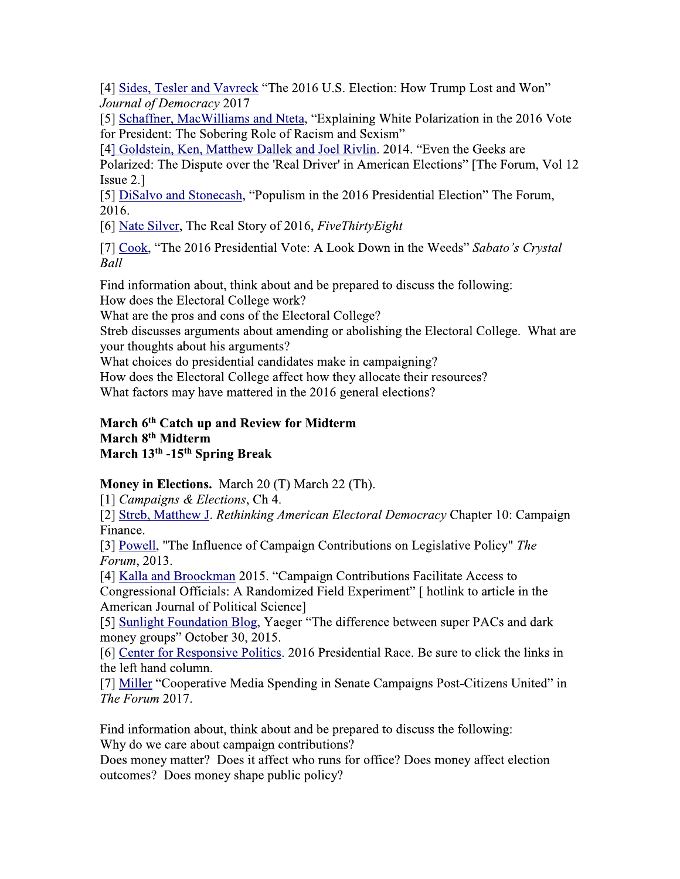[4] Sides, Tesler and Vavreck "The 2016 U.S. Election: How Trump Lost and Won" Journal of Democracy 2017

[5] Schaffner, MacWilliams and Nteta, "Explaining White Polarization in the 2016 Vote for President: The Sobering Role of Racism and Sexism"

[4] Goldstein, Ken, Matthew Dallek and Joel Rivlin. 2014. "Even the Geeks are

Polarized: The Dispute over the 'Real Driver' in American Elections" [The Forum, Vol 12  $Issue 2.]$ 

[5] DiSalvo and Stonecash, "Populism in the 2016 Presidential Election" The Forum, 2016.

[6] Nate Silver, The Real Story of 2016, FiveThirtyEight

[7] Cook, "The 2016 Presidential Vote: A Look Down in the Weeds" Sabato's Crystal Ball

Find information about, think about and be prepared to discuss the following: How does the Electoral College work?

What are the pros and cons of the Electoral College?

Streb discusses arguments about amending or abolishing the Electoral College. What are your thoughts about his arguments?

What choices do presidential candidates make in campaigning?

How does the Electoral College affect how they allocate their resources?

What factors may have mattered in the 2016 general elections?

#### March 6<sup>th</sup> Catch up and Review for Midterm March 8<sup>th</sup> Midterm March 13th -15th Spring Break

**Money in Elections.** March 20 (T) March 22 (Th).

[1] Campaigns & Elections, Ch 4.

[2] Streb, Matthew J. Rethinking American Electoral Democracy Chapter 10: Campaign Finance.

[3] Powell, "The Influence of Campaign Contributions on Legislative Policy" The Forum, 2013.

[4] Kalla and Broockman 2015. "Campaign Contributions Facilitate Access to Congressional Officials: A Randomized Field Experiment" [ hotlink to article in the American Journal of Political Science]

[5] Sunlight Foundation Blog, Yaeger "The difference between super PACs and dark money groups" October 30, 2015.

[6] Center for Responsive Politics. 2016 Presidential Race. Be sure to click the links in the left hand column.

[7] Miller "Cooperative Media Spending in Senate Campaigns Post-Citizens United" in The Forum 2017.

Find information about, think about and be prepared to discuss the following: Why do we care about campaign contributions?

Does money matter? Does it affect who runs for office? Does money affect election outcomes? Does money shape public policy?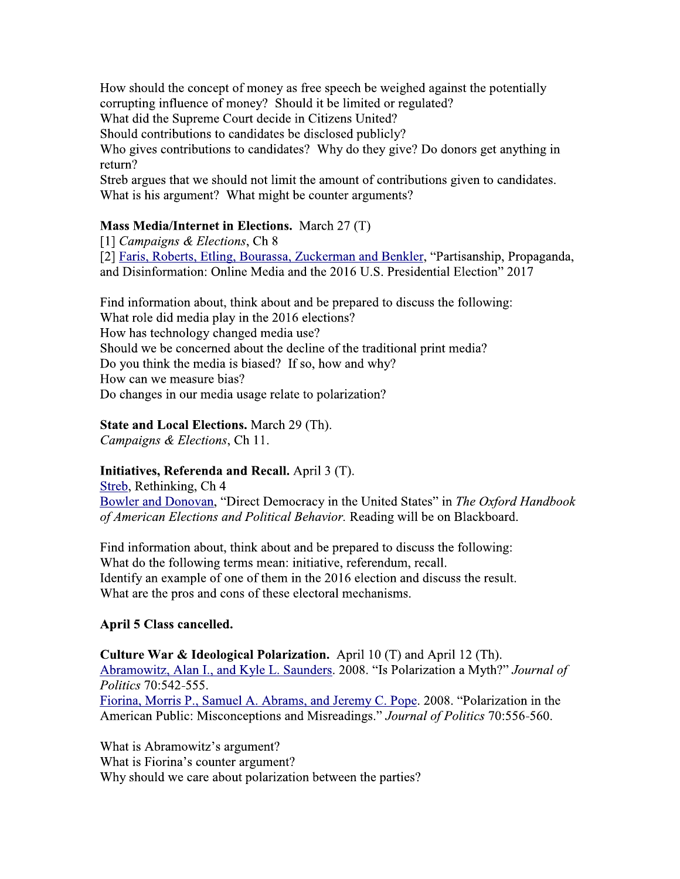How should the concept of money as free speech be weighed against the potentially corrupting influence of money? Should it be limited or regulated?

What did the Supreme Court decide in Citizens United?

Should contributions to candidates be disclosed publicly?

Who gives contributions to candidates? Why do they give? Do donors get anything in return?

Streb argues that we should not limit the amount of contributions given to candidates. What is his argument? What might be counter arguments?

### Mass Media/Internet in Elections. March 27 (T)

[1] Campaigns & Elections, Ch 8

[2] Faris, Roberts, Etling, Bourassa, Zuckerman and Benkler, "Partisanship, Propaganda, and Disinformation: Online Media and the 2016 U.S. Presidential Election" 2017

Find information about, think about and be prepared to discuss the following: What role did media play in the 2016 elections? How has technology changed media use? Should we be concerned about the decline of the traditional print media? Do you think the media is biased? If so, how and why? How can we measure bias? Do changes in our media usage relate to polarization?

## **State and Local Elections.** March 29 (Th).

Campaigns & Elections, Ch 11.

### Initiatives, Referenda and Recall. April 3 (T).

Streb, Rethinking, Ch 4 Bowler and Donovan, "Direct Democracy in the United States" in The Oxford Handbook of American Elections and Political Behavior. Reading will be on Blackboard.

Find information about, think about and be prepared to discuss the following: What do the following terms mean: initiative, referendum, recall. Identify an example of one of them in the 2016 election and discuss the result. What are the pros and cons of these electoral mechanisms.

### April 5 Class cancelled.

Culture War & Ideological Polarization. April 10 (T) and April 12 (Th). Abramowitz, Alan I., and Kyle L. Saunders. 2008. "Is Polarization a Myth?" Journal of Politics 70:542-555. Fiorina, Morris P., Samuel A. Abrams, and Jeremy C. Pope. 2008. "Polarization in the American Public: Misconceptions and Misreadings." Journal of Politics 70:556-560.

What is Abramowitz's argument? What is Fiorina's counter argument? Why should we care about polarization between the parties?